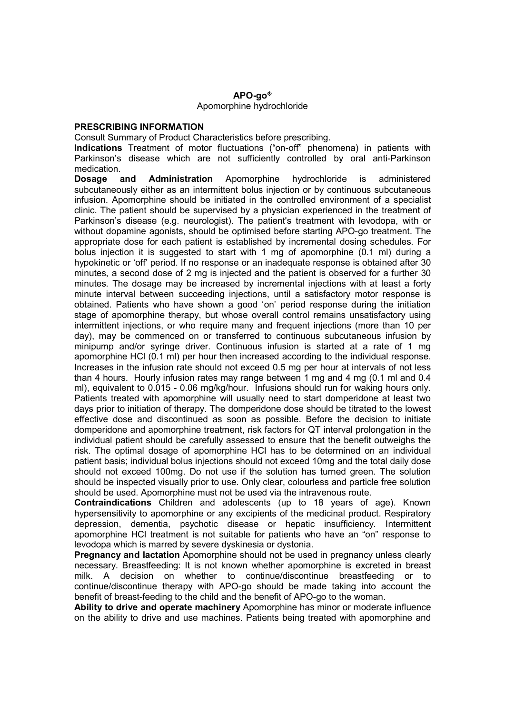## $APO$ -go<sup>®</sup>

## Apomorphine hydrochloride

## PRESCRIBING INFORMATION

Consult Summary of Product Characteristics before prescribing.

Indications Treatment of motor fluctuations ("on-off" phenomena) in patients with Parkinson's disease which are not sufficiently controlled by oral anti-Parkinson medication.

Dosage and Administration Apomorphine hydrochloride is administered subcutaneously either as an intermittent bolus injection or by continuous subcutaneous infusion. Apomorphine should be initiated in the controlled environment of a specialist clinic. The patient should be supervised by a physician experienced in the treatment of Parkinson's disease (e.g. neurologist). The patient's treatment with levodopa, with or without dopamine agonists, should be optimised before starting APO-go treatment. The appropriate dose for each patient is established by incremental dosing schedules. For bolus injection it is suggested to start with 1 mg of apomorphine (0.1 ml) during a hypokinetic or 'off' period. If no response or an inadequate response is obtained after 30 minutes, a second dose of 2 mg is injected and the patient is observed for a further 30 minutes. The dosage may be increased by incremental injections with at least a forty minute interval between succeeding injections, until a satisfactory motor response is obtained. Patients who have shown a good 'on' period response during the initiation stage of apomorphine therapy, but whose overall control remains unsatisfactory using intermittent injections, or who require many and frequent injections (more than 10 per day), may be commenced on or transferred to continuous subcutaneous infusion by minipump and/or syringe driver. Continuous infusion is started at a rate of 1 mg apomorphine HCl (0.1 ml) per hour then increased according to the individual response. Increases in the infusion rate should not exceed 0.5 mg per hour at intervals of not less than 4 hours. Hourly infusion rates may range between 1 mg and 4 mg (0.1 ml and 0.4 ml), equivalent to 0.015 - 0.06 mg/kg/hour. Infusions should run for waking hours only. Patients treated with apomorphine will usually need to start domperidone at least two days prior to initiation of therapy. The domperidone dose should be titrated to the lowest effective dose and discontinued as soon as possible. Before the decision to initiate domperidone and apomorphine treatment, risk factors for QT interval prolongation in the individual patient should be carefully assessed to ensure that the benefit outweighs the risk. The optimal dosage of apomorphine HCl has to be determined on an individual patient basis; individual bolus injections should not exceed 10mg and the total daily dose should not exceed 100mg. Do not use if the solution has turned green. The solution should be inspected visually prior to use. Only clear, colourless and particle free solution should be used. Apomorphine must not be used via the intravenous route.

Contraindications Children and adolescents (up to 18 years of age). Known hypersensitivity to apomorphine or any excipients of the medicinal product. Respiratory depression, dementia, psychotic disease or hepatic insufficiency. Intermittent apomorphine HCl treatment is not suitable for patients who have an "on" response to levodopa which is marred by severe dyskinesia or dystonia.

**Pregnancy and lactation** Apomorphine should not be used in pregnancy unless clearly necessary. Breastfeeding: It is not known whether apomorphine is excreted in breast milk. A decision on whether to continue/discontinue breastfeeding or to continue/discontinue therapy with APO-go should be made taking into account the benefit of breast-feeding to the child and the benefit of APO-go to the woman.

Ability to drive and operate machinery Apomorphine has minor or moderate influence on the ability to drive and use machines. Patients being treated with apomorphine and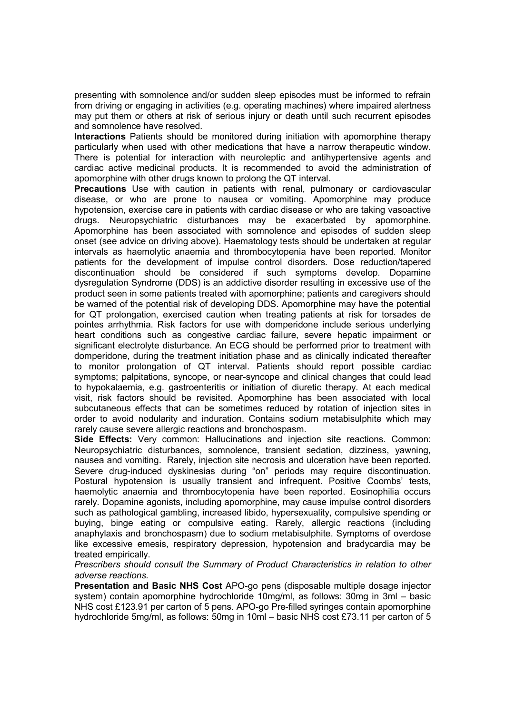presenting with somnolence and/or sudden sleep episodes must be informed to refrain from driving or engaging in activities (e.g. operating machines) where impaired alertness may put them or others at risk of serious injury or death until such recurrent episodes and somnolence have resolved.

Interactions Patients should be monitored during initiation with apomorphine therapy particularly when used with other medications that have a narrow therapeutic window. There is potential for interaction with neuroleptic and antihypertensive agents and cardiac active medicinal products. It is recommended to avoid the administration of apomorphine with other drugs known to prolong the QT interval.

**Precautions** Use with caution in patients with renal, pulmonary or cardiovascular disease, or who are prone to nausea or vomiting. Apomorphine may produce hypotension, exercise care in patients with cardiac disease or who are taking vasoactive drugs. Neuropsychiatric disturbances may be exacerbated by apomorphine. Apomorphine has been associated with somnolence and episodes of sudden sleep onset (see advice on driving above). Haematology tests should be undertaken at regular intervals as haemolytic anaemia and thrombocytopenia have been reported. Monitor patients for the development of impulse control disorders. Dose reduction/tapered discontinuation should be considered if such symptoms develop. Dopamine dysregulation Syndrome (DDS) is an addictive disorder resulting in excessive use of the product seen in some patients treated with apomorphine; patients and caregivers should be warned of the potential risk of developing DDS. Apomorphine may have the potential for QT prolongation, exercised caution when treating patients at risk for torsades de pointes arrhythmia. Risk factors for use with domperidone include serious underlying heart conditions such as congestive cardiac failure, severe hepatic impairment or significant electrolyte disturbance. An ECG should be performed prior to treatment with domperidone, during the treatment initiation phase and as clinically indicated thereafter to monitor prolongation of QT interval. Patients should report possible cardiac symptoms; palpitations, syncope, or near-syncope and clinical changes that could lead to hypokalaemia, e.g. gastroenteritis or initiation of diuretic therapy. At each medical visit, risk factors should be revisited. Apomorphine has been associated with local subcutaneous effects that can be sometimes reduced by rotation of injection sites in order to avoid nodularity and induration. Contains sodium metabisulphite which may rarely cause severe allergic reactions and bronchospasm.

Side Effects: Very common: Hallucinations and injection site reactions. Common: Neuropsychiatric disturbances, somnolence, transient sedation, dizziness, yawning, nausea and vomiting. Rarely, injection site necrosis and ulceration have been reported. Severe drug-induced dyskinesias during "on" periods may require discontinuation. Postural hypotension is usually transient and infrequent. Positive Coombs' tests, haemolytic anaemia and thrombocytopenia have been reported. Eosinophilia occurs rarely. Dopamine agonists, including apomorphine, may cause impulse control disorders such as pathological gambling, increased libido, hypersexuality, compulsive spending or buying, binge eating or compulsive eating. Rarely, allergic reactions (including anaphylaxis and bronchospasm) due to sodium metabisulphite. Symptoms of overdose like excessive emesis, respiratory depression, hypotension and bradycardia may be treated empirically.

Prescribers should consult the Summary of Product Characteristics in relation to other adverse reactions.

Presentation and Basic NHS Cost APO-go pens (disposable multiple dosage injector system) contain apomorphine hydrochloride 10mg/ml, as follows: 30mg in 3ml – basic NHS cost £123.91 per carton of 5 pens. APO-go Pre-filled syringes contain apomorphine hydrochloride 5mg/ml, as follows: 50mg in 10ml – basic NHS cost £73.11 per carton of 5